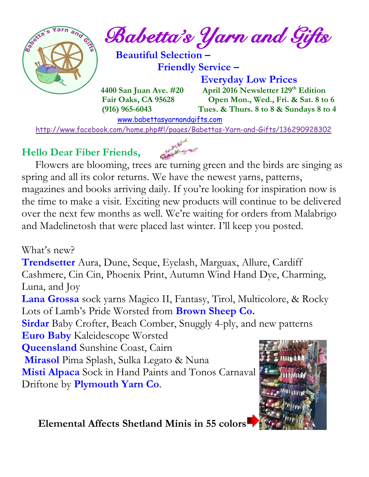

*Babetta's Yarn and Gifts* 

 **Beautiful Selection – Friendly Service –**

 **Everyday Low Prices 4400 San Juan Ave. #20** April 2016 Newsletter 129<sup>th</sup> Edition  **Fair Oaks, CA 95628 Open Mon., Wed., Fri. & Sat. 8 to 6 (916) 965-6043 Tues. & Thurs. 8 to 8 & Sundays 8 to 4** 

[www.babettasyarnandgifts.com](http://www.babettasyarnandgifts.com/)

<http://www.facebook.com/home.php#!/pages/Babettas-Yarn-and-Gifts/136290928302>

## **Hello Dear Fiber Friends,**

 Flowers are blooming, trees are turning green and the birds are singing as spring and all its color returns. We have the newest yarns, patterns, magazines and books arriving daily. If you're looking for inspiration now is the time to make a visit. Exciting new products will continue to be delivered over the next few months as well. We're waiting for orders from Malabrigo and Madelinetosh that were placed last winter. I'll keep you posted.

What's new?

**Trendsetter** Aura, Dune, Seque, Eyelash, Marguax, Allure, Cardiff Cashmere, Cin Cin, Phoenix Print, Autumn Wind Hand Dye, Charming, Luna, and Joy

**Lana Grossa** sock yarns Magico II, Fantasy, Tirol, Multicolore, & Rocky Lots of Lamb's Pride Worsted from **Brown Sheep Co.**

**Sirdar** Baby Crofter, Beach Comber, Snuggly 4-ply, and new patterns **Euro Baby** Kaleidescope Worsted

**Queensland** Sunshine Coast, Cairn

**Mirasol** Pima Splash, Sulka Legato & Nuna

**Misti Alpaca** Sock in Hand Paints and Tonos Carnaval Driftone by **Plymouth Yarn Co**.



 **Elemental Affects Shetland Minis in 55 colors**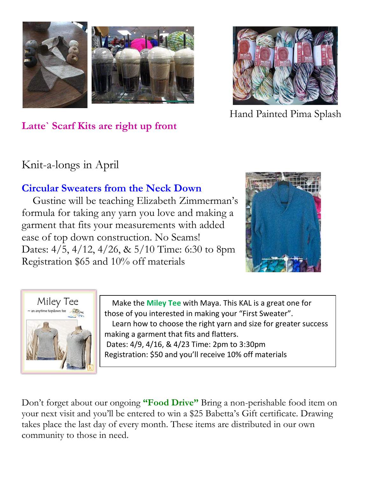



Hand Painted Pima Splash

**Latte` Scarf Kits are right up front** 

## Knit-a-longs in April

## **Circular Sweaters from the Neck Down**

 Gustine will be teaching Elizabeth Zimmerman's formula for taking any yarn you love and making a garment that fits your measurements with added ease of top down construction. No Seams! Dates: 4/5, 4/12, 4/26, & 5/10 Time: 6:30 to 8pm Registration \$65 and 10% off materials





 Make the **Miley Tee** with Maya. This KAL is a great one for those of you interested in making your "First Sweater". Learn how to choose the right yarn and size for greater success making a garment that fits and flatters. Dates: 4/9, 4/16, & 4/23 Time: 2pm to 3:30pm Registration: \$50 and you'll receive 10% off materials

Don't forget about our ongoing **"Food Drive"** Bring a non-perishable food item on your next visit and you'll be entered to win a \$25 Babetta's Gift certificate. Drawing takes place the last day of every month. These items are distributed in our own community to those in need.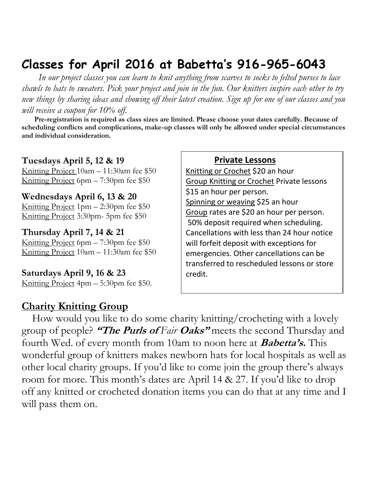## **Classes for April 2016 at Babetta's 916-965-6043**

 *In our project classes you can learn to knit anything from scarves to socks to felted purses to lace shawls to hats to sweaters. Pick your project and join in the fun. Our knitters inspire each other to try new things by sharing ideas and showing off their latest creation. Sign up for one of our classes and you will receive a coupon for 10% off.*

 **Pre-registration is required as class sizes are limited. Please choose your dates carefully. Because of scheduling conflicts and complications, make-up classes will only be allowed under special circumstances and individual consideration.**

#### **Tuesdays April 5, 12 & 19**

Knitting Project 10am – 11:30am fee \$50 Knitting Project 6pm – 7:30pm fee \$50

#### **Wednesdays April 6, 13 & 20**

Knitting Project 1pm – 2:30pm fee \$50 Knitting Project 3:30pm- 5pm fee \$50

#### **Thursday April 7, 14 & 21**

Knitting Project 6pm – 7:30pm fee \$50 Knitting Project 10am – 11:30am fee \$50

#### **Saturdays April 9, 16 & 23**

Knitting Project 4pm – 5:30pm fee \$50.

### **Charity Knitting Group**

#### **Private Lessons**

Knitting or Crochet \$20 an hour Group Knitting or Crochet Private lessons \$15 an hour per person. Spinning or weaving \$25 an hour Group rates are \$20 an hour per person. 50% deposit required when scheduling. Cancellations with less than 24 hour notice will forfeit deposit with exceptions for emergencies. Other cancellations can be transferred to rescheduled lessons or store credit.

 How would you like to do some charity knitting/crocheting with a lovely group of people? **"The Purls of** *Fair* **Oaks"** meets the second Thursday and fourth Wed. of every month from 10am to noon here at **Babetta's.** This wonderful group of knitters makes newborn hats for local hospitals as well as other local charity groups. If you'd like to come join the group there's always room for more. This month's dates are April 14 & 27. If you'd like to drop off any knitted or crocheted donation items you can do that at any time and I will pass them on.